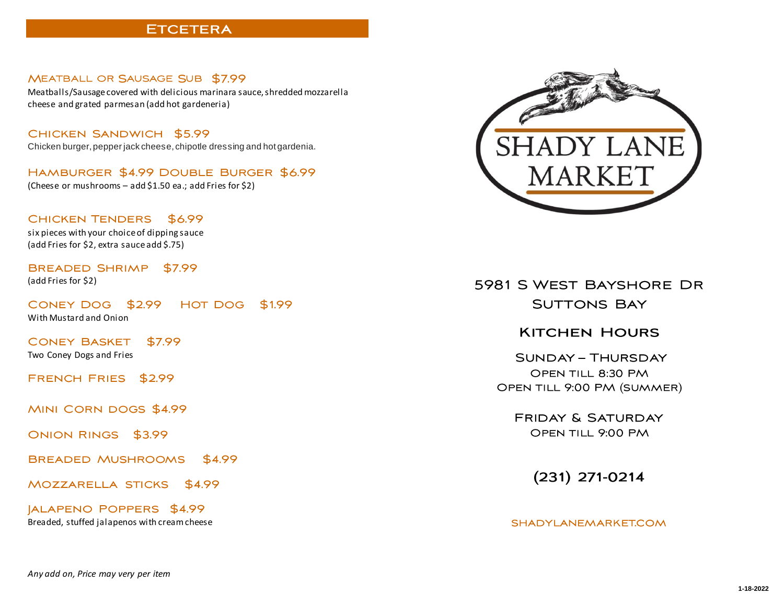#### **ETCETERA**

#### MEATBALL OR SAUSAGE SUB \$7.99

Meatballs/Sausage covered with delicious marinara sauce, shredded mozzarella cheese and grated parmesan (add hot gardeneria)

CHICKEN SANDWICH \$5.99 Chicken burger, pepper jack cheese, chipotle dressing and hot gardenia.

HAMBURGER \$4.99 DOUBLE BURGER \$6.99

(Cheese or mushrooms – add \$1.50 ea.; add Fries for \$2)

CHICKEN TENDERS \$6.99

six pieces with your choice of dipping sauce (add Fries for \$2, extra sauce add \$.75)

BREADED SHRIMP \$7.99 (add Fries for \$2)

CONEY DOG \$2.99 HOT DOG \$1.99

With Mustard and Onion

**CONEY BASKET** \$7.99

Two Coney Dogs and Fries

FRENCH FRIES \$2.99

MINI CORN DOGS \$4.99

ONION RINGS \$3.99

**BREADED MUSHROOMS** \$4.99

MOZZARELLA STICKS \$4.99

**JALAPENO POPPERS \$4.99** Breaded, stuffed jalapenos with cream cheese



# 5981 S WEST BAYSHORE DR **SUTTONS BAY**

## **KITCHEN HOURS**

**SUNDAY - THURSDAY** OPEN TILL 8:30 PM OPEN TILL 9:00 PM (SUMMER)

**FRIDAY & SATURDAY** OPEN TILL 9:00 PM

 $(231)$  271-0214

#### SHADYLANEMARKET.COM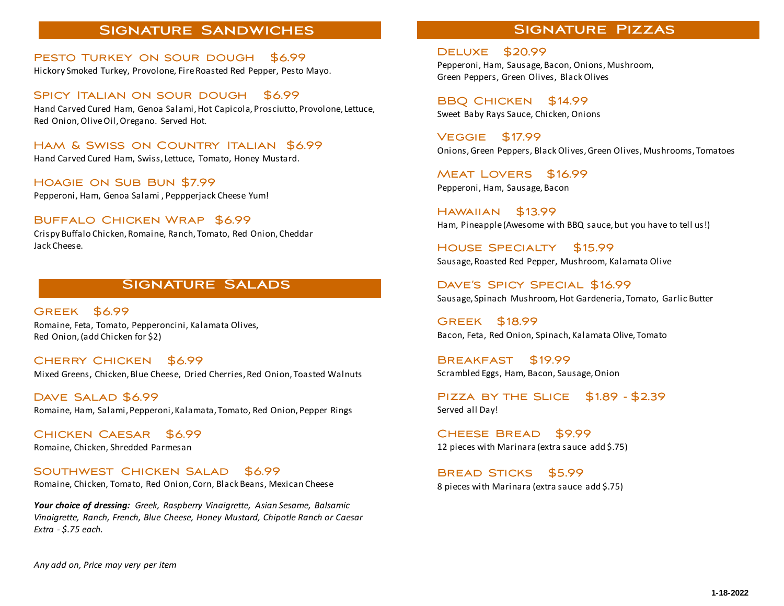#### **SIGNATURE SANDWICHES**

PESTO TURKEY ON SOUR DOUGH \$6.99 Hickory Smoked Turkey, Provolone, Fire Roasted Red Pepper, Pesto Mayo.

SPICY ITALIAN ON SOUR DOUGH \$6.99 Hand Carved Cured Ham, Genoa Salami, Hot Capicola, Prosciutto, Provolone, Lettuce, Red Onion, Olive Oil, Oregano. Served Hot.

HAM & SWISS ON COUNTRY ITALIAN \$6.99 Hand Carved Cured Ham, Swiss, Lettuce, Tomato, Honey Mustard.

HOAGIE ON SUB BUN \$7.99 Pepperoni, Ham, Genoa Salami , Peppperjack Cheese Yum!

BUFFALO CHICKEN WRAP \$6.99 Crispy Buffalo Chicken, Romaine, Ranch, Tomato, Red Onion, Cheddar Jack Cheese.

### **SIGNATURE SALADS**

GREEK \$6.99 Romaine, Feta, Tomato, Pepperoncini, Kalamata Olives, Red Onion, (add Chicken for \$2)

CHERRY CHICKEN \$6.99 Mixed Greens, Chicken, Blue Cheese, Dried Cherries, Red Onion, Toasted Walnuts

DAVE SALAD \$6.99 Romaine, Ham, Salami, Pepperoni, Kalamata, Tomato, Red Onion, Pepper Rings

CHICKEN CAESAR \$6.99 Romaine, Chicken, Shredded Parmesan

SOUTHWEST CHICKEN SALAD \$6.99 Romaine, Chicken, Tomato, Red Onion, Corn, Black Beans, Mexican Cheese

*Your choice of dressing: Greek, Raspberry Vinaigrette, Asian Sesame, Balsamic Vinaigrette, Ranch, French, Blue Cheese, Honey Mustard, Chipotle Ranch or Caesar Extra - \$.75 each.*

## **SIGNATURE PIZZAS**

**DELUXE \$20.99** Pepperoni, Ham, Sausage, Bacon, Onions, Mushroom, Green Peppers, Green Olives, Black Olives

BBQ CHICKEN \$14.99 Sweet Baby Rays Sauce, Chicken, Onions

**VEGGIE \$17.99** Onions, Green Peppers, Black Olives, Green Olives, Mushrooms, Tomatoes

MEAT LOVERS \$16.99 Pepperoni, Ham, Sausage, Bacon

**HAWAIIAN** \$13.99 Ham, Pineapple (Awesome with BBQ sauce, but you have to tell us!)

**HOUSE SPECIALTY** \$15.99 Sausage, Roasted Red Pepper, Mushroom, Kalamata Olive

DAVE'S SPICY SPECIAL \$16.99 Sausage, Spinach Mushroom, Hot Gardeneria, Tomato, Garlic Butter

GREEK \$18.99 Bacon, Feta, Red Onion, Spinach, Kalamata Olive, Tomato

**BREAKFAST** \$19.99 Scrambled Eggs, Ham, Bacon, Sausage, Onion

PIZZA BY THE SLICE  $$1.89 - $2.39$ Served all Day!

CHEESE BREAD \$9.99 12 pieces with Marinara (extra sauce add \$.75)

BREAD STICKS \$5.99 8 pieces with Marinara (extra sauce add \$.75)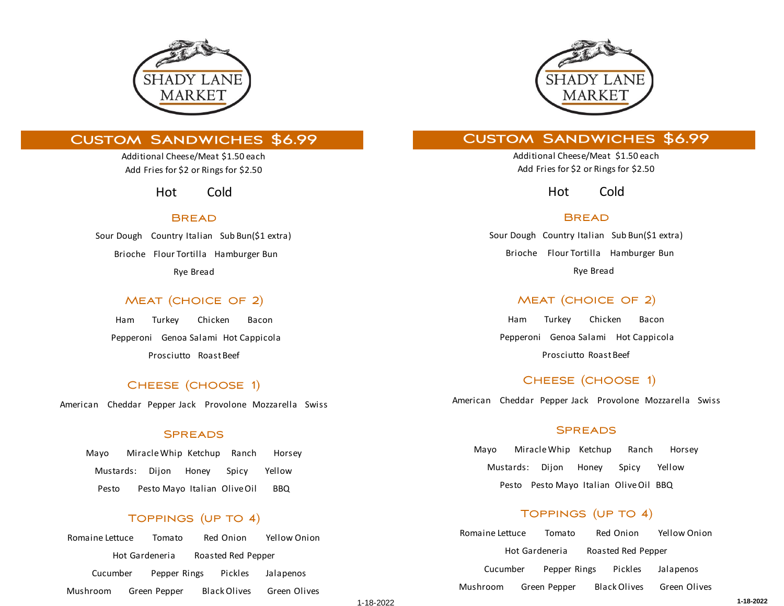

## **CUSTOM SANDWICHES \$6.99**

Additional Cheese/Meat \$1.50 each Add Fries for \$2 or Rings for \$2.50

Hot Cold

#### **BREAD**

Sour Dough Country Italian Sub Bun(\$1 extra) Brioche Flour Tortilla Hamburger Bun Rye Bread

### MEAT (CHOICE OF 2)

Ham Turkey Chicken Bacon Pepperoni Genoa Salami Hot Cappicola Prosciutto Roast Beef

### CHEESE (CHOOSE 1)

American Cheddar Pepper Jack Provolone Mozzarella Swiss

#### **SPREADS**

Mayo Miracle Whip Ketchup Ranch Horsey Mustards: Dijon Honey Spicy Yellow Pesto Pesto Mayo Italian Olive Oil BBQ

### TOPPINGS (UP TO 4)

Romaine Lettuce Tomato Red Onion Yellow Onion Hot Gardeneria Roasted Red Pepper Cucumber Pepper Rings Pickles Jalapenos Mushroom Green Pepper Black Olives Green Olives



## **CUSTOM SANDWICHES \$6.99**

Additional Cheese/Meat \$1.50 each Add Fries for \$2 or Rings for \$2.50

Hot Cold

#### **BREAD**

Sour Dough Country Italian Sub Bun(\$1 extra) Brioche Flour Tortilla Hamburger Bun Rye Bread

### **MEAT (CHOICE OF 2)**

Ham Turkey Chicken Bacon Pepperoni Genoa Salami Hot Cappicola Prosciutto Roast Beef

#### CHEESE (CHOOSE 1)

American Cheddar Pepper Jack Provolone Mozzarella Swiss

#### **SPREADS**

Mayo Miracle Whip Ketchup Ranch Horsey Mustards: Dijon Honey Spicy Yellow Pesto Pesto Mayo Italian Olive Oil BBQ

### TOPPINGS (UP TO 4)

Romaine Lettuce Tomato Red Onion Yellow Onion Hot Gardeneria Roasted Red Pepper Cucumber Pepper Rings Pickles Jalapenos Mushroom Green Pepper Black Olives Green Olives

1 **1-18-2022** -18-2022